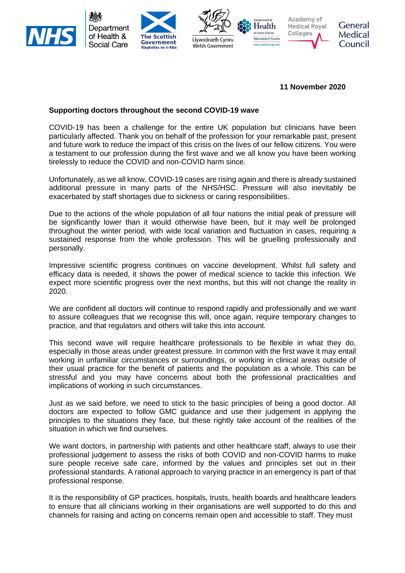

**11 November 2020**

## **Supporting doctors throughout the second COVID-19 wave**

COVID-19 has been a challenge for the entire UK population but clinicians have been particularly affected. Thank you on behalf of the profession for your remarkable past, present and future work to reduce the impact of this crisis on the lives of our fellow citizens. You were a testament to our profession during the first wave and we all know you have been working tirelessly to reduce the COVID and non-COVID harm since.

Unfortunately, as we all know, COVID-19 cases are rising again and there is already sustained additional pressure in many parts of the NHS/HSC. Pressure will also inevitably be exacerbated by staff shortages due to sickness or caring responsibilities.

Due to the actions of the whole population of all four nations the initial peak of pressure will be significantly lower than it would otherwise have been, but it may well be prolonged throughout the winter period, with wide local variation and fluctuation in cases, requiring a sustained response from the whole profession. This will be gruelling professionally and personally.

Impressive scientific progress continues on vaccine development. Whilst full safety and efficacy data is needed, it shows the power of medical science to tackle this infection. We expect more scientific progress over the next months, but this will not change the reality in 2020.

We are confident all doctors will continue to respond rapidly and professionally and we want to assure colleagues that we recognise this will, once again, require temporary changes to practice, and that regulators and others will take this into account.

This second wave will require healthcare professionals to be flexible in what they do, especially in those areas under greatest pressure. In common with the first wave it may entail working in unfamiliar circumstances or surroundings, or working in clinical areas outside of their usual practice for the benefit of patients and the population as a whole. This can be stressful and you may have concerns about both the professional practicalities and implications of working in such circumstances.

Just as we said before, we need to stick to the basic principles of being a good doctor. All doctors are expected to follow GMC guidance and use their judgement in applying the principles to the situations they face, but these rightly take account of the realities of the situation in which we find ourselves.

We want doctors, in partnership with patients and other healthcare staff, always to use their professional judgement to assess the risks of both COVID and non-COVID harms to make sure people receive safe care, informed by the values and principles set out in their professional standards. A rational approach to varying practice in an emergency is part of that professional response.

It is the responsibility of GP practices, hospitals, trusts, health boards and healthcare leaders to ensure that all clinicians working in their organisations are well supported to do this and channels for raising and acting on concerns remain open and accessible to staff. They must